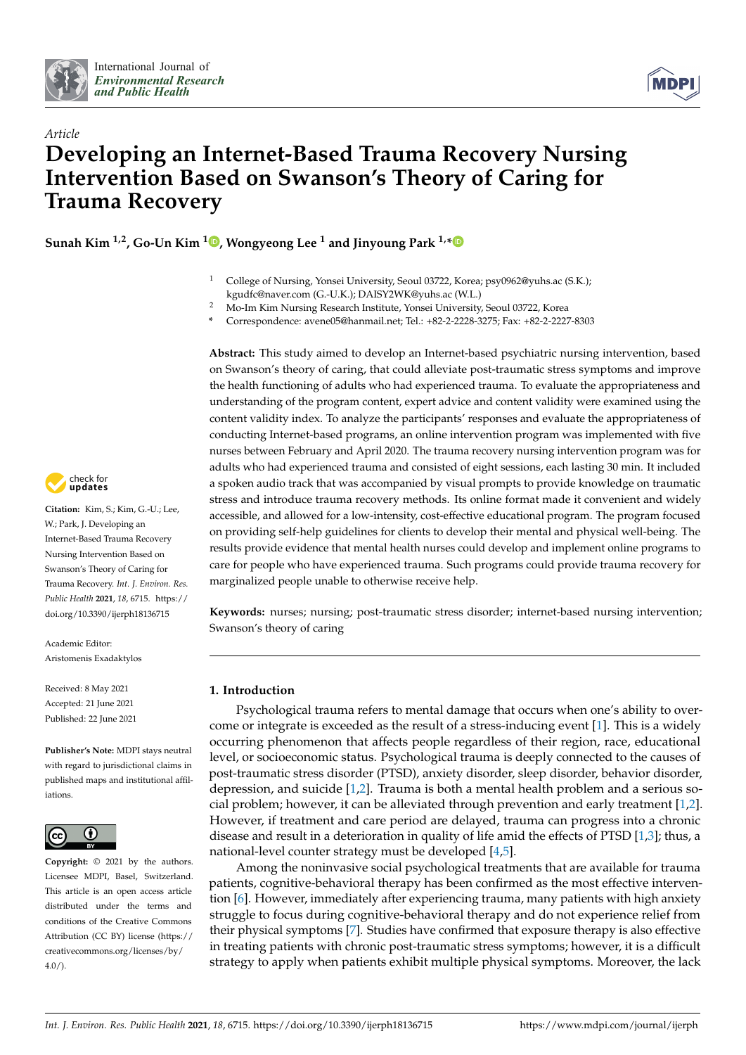



# *Article* **Developing an Internet-Based Trauma Recovery Nursing Intervention Based on Swanson's Theory of Caring for Trauma Recovery**

**Sunah Kim 1,2, Go-Un Kim [1](https://orcid.org/0000-0001-7191-5134) , Wongyeong Lee <sup>1</sup> and Jinyoung Park 1,[\\*](https://orcid.org/0000-0001-7345-5178)**

- <sup>1</sup> College of Nursing, Yonsei University, Seoul 03722, Korea; psy0962@yuhs.ac (S.K.); kgudfc@naver.com (G.-U.K.); DAISY2WK@yuhs.ac (W.L.)
- <sup>2</sup> Mo-Im Kim Nursing Research Institute, Yonsei University, Seoul 03722, Korea
- **\*** Correspondence: avene05@hanmail.net; Tel.: +82-2-2228-3275; Fax: +82-2-2227-8303

**Abstract:** This study aimed to develop an Internet-based psychiatric nursing intervention, based on Swanson's theory of caring, that could alleviate post-traumatic stress symptoms and improve the health functioning of adults who had experienced trauma. To evaluate the appropriateness and understanding of the program content, expert advice and content validity were examined using the content validity index. To analyze the participants' responses and evaluate the appropriateness of conducting Internet-based programs, an online intervention program was implemented with five nurses between February and April 2020. The trauma recovery nursing intervention program was for adults who had experienced trauma and consisted of eight sessions, each lasting 30 min. It included a spoken audio track that was accompanied by visual prompts to provide knowledge on traumatic stress and introduce trauma recovery methods. Its online format made it convenient and widely accessible, and allowed for a low-intensity, cost-effective educational program. The program focused on providing self-help guidelines for clients to develop their mental and physical well-being. The results provide evidence that mental health nurses could develop and implement online programs to care for people who have experienced trauma. Such programs could provide trauma recovery for marginalized people unable to otherwise receive help.

**Keywords:** nurses; nursing; post-traumatic stress disorder; internet-based nursing intervention; Swanson's theory of caring

# **1. Introduction**

Psychological trauma refers to mental damage that occurs when one's ability to overcome or integrate is exceeded as the result of a stress-inducing event [\[1\]](#page-10-0). This is a widely occurring phenomenon that affects people regardless of their region, race, educational level, or socioeconomic status. Psychological trauma is deeply connected to the causes of post-traumatic stress disorder (PTSD), anxiety disorder, sleep disorder, behavior disorder, depression, and suicide [\[1](#page-10-0)[,2\]](#page-10-1). Trauma is both a mental health problem and a serious social problem; however, it can be alleviated through prevention and early treatment [\[1,](#page-10-0)[2\]](#page-10-1). However, if treatment and care period are delayed, trauma can progress into a chronic disease and result in a deterioration in quality of life amid the effects of PTSD [\[1,](#page-10-0)[3\]](#page-10-2); thus, a national-level counter strategy must be developed [\[4](#page-11-0)[,5\]](#page-11-1).

Among the noninvasive social psychological treatments that are available for trauma patients, cognitive-behavioral therapy has been confirmed as the most effective intervention [\[6\]](#page-11-2). However, immediately after experiencing trauma, many patients with high anxiety struggle to focus during cognitive-behavioral therapy and do not experience relief from their physical symptoms [\[7\]](#page-11-3). Studies have confirmed that exposure therapy is also effective in treating patients with chronic post-traumatic stress symptoms; however, it is a difficult strategy to apply when patients exhibit multiple physical symptoms. Moreover, the lack



**Citation:** Kim, S.; Kim, G.-U.; Lee, W.; Park, J. Developing an Internet-Based Trauma Recovery Nursing Intervention Based on Swanson's Theory of Caring for Trauma Recovery. *Int. J. Environ. Res. Public Health* **2021**, *18*, 6715. [https://](https://doi.org/10.3390/ijerph18136715) [doi.org/10.3390/ijerph18136715](https://doi.org/10.3390/ijerph18136715)

Academic Editor: Aristomenis Exadaktylos

Received: 8 May 2021 Accepted: 21 June 2021 Published: 22 June 2021

**Publisher's Note:** MDPI stays neutral with regard to jurisdictional claims in published maps and institutional affiliations.



**Copyright:** © 2021 by the authors. Licensee MDPI, Basel, Switzerland. This article is an open access article distributed under the terms and conditions of the Creative Commons Attribution (CC BY) license (https:/[/](https://creativecommons.org/licenses/by/4.0/) [creativecommons.org/licenses/by/](https://creativecommons.org/licenses/by/4.0/) 4.0/).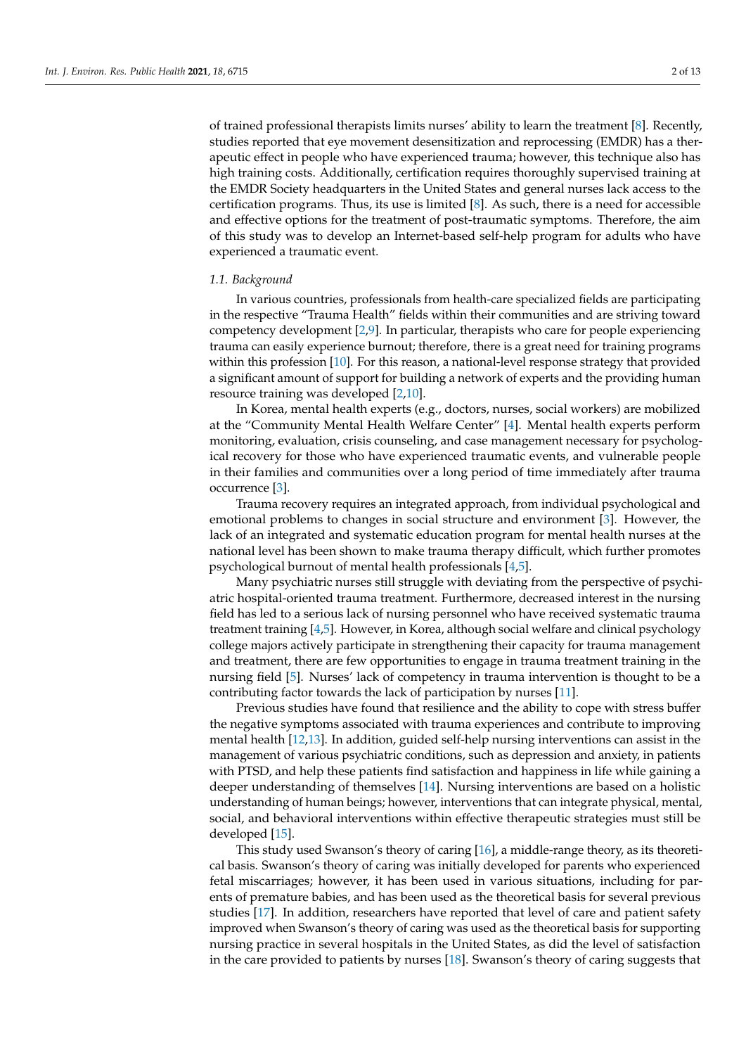of trained professional therapists limits nurses' ability to learn the treatment [\[8\]](#page-11-4). Recently, studies reported that eye movement desensitization and reprocessing (EMDR) has a therapeutic effect in people who have experienced trauma; however, this technique also has high training costs. Additionally, certification requires thoroughly supervised training at the EMDR Society headquarters in the United States and general nurses lack access to the certification programs. Thus, its use is limited  $[8]$ . As such, there is a need for accessible and effective options for the treatment of post-traumatic symptoms. Therefore, the aim of this study was to develop an Internet-based self-help program for adults who have experienced a traumatic event.

## *1.1. Background*

In various countries, professionals from health-care specialized fields are participating in the respective "Trauma Health" fields within their communities and are striving toward competency development [\[2,](#page-10-1)[9\]](#page-11-5). In particular, therapists who care for people experiencing trauma can easily experience burnout; therefore, there is a great need for training programs within this profession [\[10\]](#page-11-6). For this reason, a national-level response strategy that provided a significant amount of support for building a network of experts and the providing human resource training was developed [\[2,](#page-10-1)[10\]](#page-11-6).

In Korea, mental health experts (e.g., doctors, nurses, social workers) are mobilized at the "Community Mental Health Welfare Center" [\[4\]](#page-11-0). Mental health experts perform monitoring, evaluation, crisis counseling, and case management necessary for psychological recovery for those who have experienced traumatic events, and vulnerable people in their families and communities over a long period of time immediately after trauma occurrence [\[3\]](#page-10-2).

Trauma recovery requires an integrated approach, from individual psychological and emotional problems to changes in social structure and environment [\[3\]](#page-10-2). However, the lack of an integrated and systematic education program for mental health nurses at the national level has been shown to make trauma therapy difficult, which further promotes psychological burnout of mental health professionals [\[4](#page-11-0)[,5\]](#page-11-1).

Many psychiatric nurses still struggle with deviating from the perspective of psychiatric hospital-oriented trauma treatment. Furthermore, decreased interest in the nursing field has led to a serious lack of nursing personnel who have received systematic trauma treatment training [\[4](#page-11-0)[,5\]](#page-11-1). However, in Korea, although social welfare and clinical psychology college majors actively participate in strengthening their capacity for trauma management and treatment, there are few opportunities to engage in trauma treatment training in the nursing field [\[5\]](#page-11-1). Nurses' lack of competency in trauma intervention is thought to be a contributing factor towards the lack of participation by nurses [\[11\]](#page-11-7).

Previous studies have found that resilience and the ability to cope with stress buffer the negative symptoms associated with trauma experiences and contribute to improving mental health [\[12](#page-11-8)[,13\]](#page-11-9). In addition, guided self-help nursing interventions can assist in the management of various psychiatric conditions, such as depression and anxiety, in patients with PTSD, and help these patients find satisfaction and happiness in life while gaining a deeper understanding of themselves [\[14\]](#page-11-10). Nursing interventions are based on a holistic understanding of human beings; however, interventions that can integrate physical, mental, social, and behavioral interventions within effective therapeutic strategies must still be developed [\[15\]](#page-11-11).

This study used Swanson's theory of caring [\[16\]](#page-11-12), a middle-range theory, as its theoretical basis. Swanson's theory of caring was initially developed for parents who experienced fetal miscarriages; however, it has been used in various situations, including for parents of premature babies, and has been used as the theoretical basis for several previous studies [\[17\]](#page-11-13). In addition, researchers have reported that level of care and patient safety improved when Swanson's theory of caring was used as the theoretical basis for supporting nursing practice in several hospitals in the United States, as did the level of satisfaction in the care provided to patients by nurses [\[18\]](#page-11-14). Swanson's theory of caring suggests that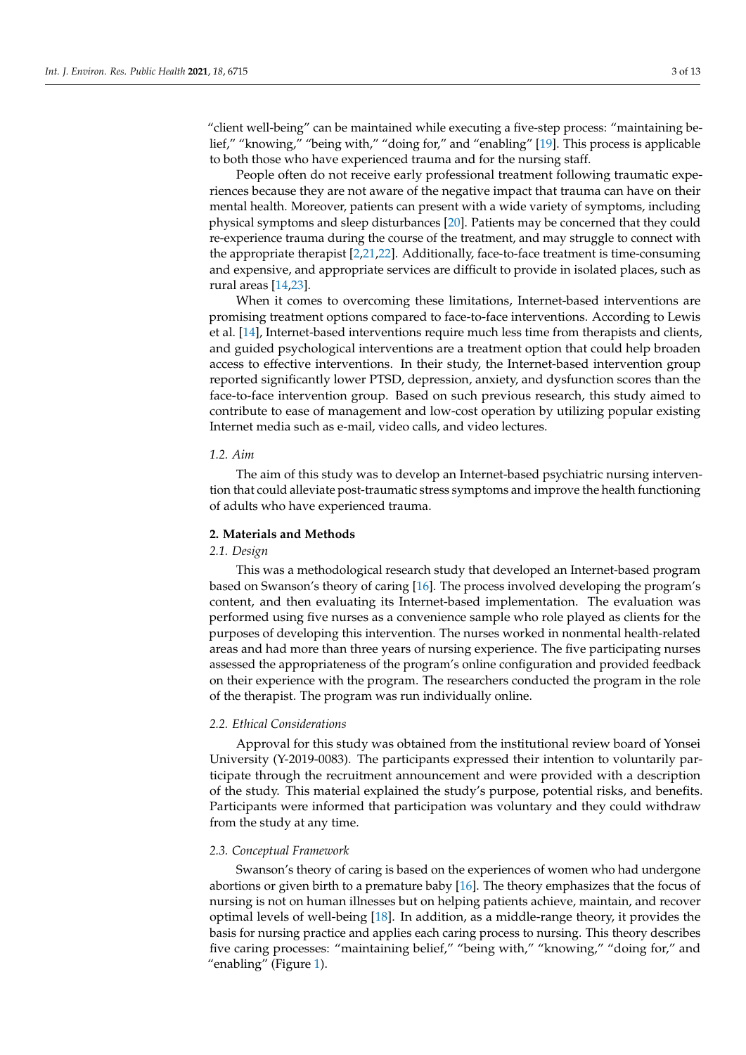"client well-being" can be maintained while executing a five-step process: "maintaining belief," "knowing," "being with," "doing for," and "enabling" [\[19\]](#page-11-15). This process is applicable to both those who have experienced trauma and for the nursing staff.

People often do not receive early professional treatment following traumatic experiences because they are not aware of the negative impact that trauma can have on their mental health. Moreover, patients can present with a wide variety of symptoms, including physical symptoms and sleep disturbances [\[20\]](#page-11-16). Patients may be concerned that they could re-experience trauma during the course of the treatment, and may struggle to connect with the appropriate therapist [\[2,](#page-10-1)[21,](#page-11-17)[22\]](#page-11-18). Additionally, face-to-face treatment is time-consuming and expensive, and appropriate services are difficult to provide in isolated places, such as rural areas [\[14](#page-11-10)[,23\]](#page-11-19).

When it comes to overcoming these limitations, Internet-based interventions are promising treatment options compared to face-to-face interventions. According to Lewis et al. [\[14\]](#page-11-10), Internet-based interventions require much less time from therapists and clients, and guided psychological interventions are a treatment option that could help broaden access to effective interventions. In their study, the Internet-based intervention group reported significantly lower PTSD, depression, anxiety, and dysfunction scores than the face-to-face intervention group. Based on such previous research, this study aimed to contribute to ease of management and low-cost operation by utilizing popular existing Internet media such as e-mail, video calls, and video lectures.

#### *1.2. Aim*

The aim of this study was to develop an Internet-based psychiatric nursing intervention that could alleviate post-traumatic stress symptoms and improve the health functioning of adults who have experienced trauma.

# **2. Materials and Methods**

## *2.1. Design*

This was a methodological research study that developed an Internet-based program based on Swanson's theory of caring [\[16\]](#page-11-12). The process involved developing the program's content, and then evaluating its Internet-based implementation. The evaluation was performed using five nurses as a convenience sample who role played as clients for the purposes of developing this intervention. The nurses worked in nonmental health-related areas and had more than three years of nursing experience. The five participating nurses assessed the appropriateness of the program's online configuration and provided feedback on their experience with the program. The researchers conducted the program in the role of the therapist. The program was run individually online.

## *2.2. Ethical Considerations*

Approval for this study was obtained from the institutional review board of Yonsei University (Y-2019-0083). The participants expressed their intention to voluntarily participate through the recruitment announcement and were provided with a description of the study. This material explained the study's purpose, potential risks, and benefits. Participants were informed that participation was voluntary and they could withdraw from the study at any time.

#### *2.3. Conceptual Framework*

Swanson's theory of caring is based on the experiences of women who had undergone abortions or given birth to a premature baby [\[16\]](#page-11-12). The theory emphasizes that the focus of nursing is not on human illnesses but on helping patients achieve, maintain, and recover optimal levels of well-being [\[18\]](#page-11-14). In addition, as a middle-range theory, it provides the basis for nursing practice and applies each caring process to nursing. This theory describes five caring processes: "maintaining belief," "being with," "knowing," "doing for," and "enabling" (Figure [1\)](#page-3-0).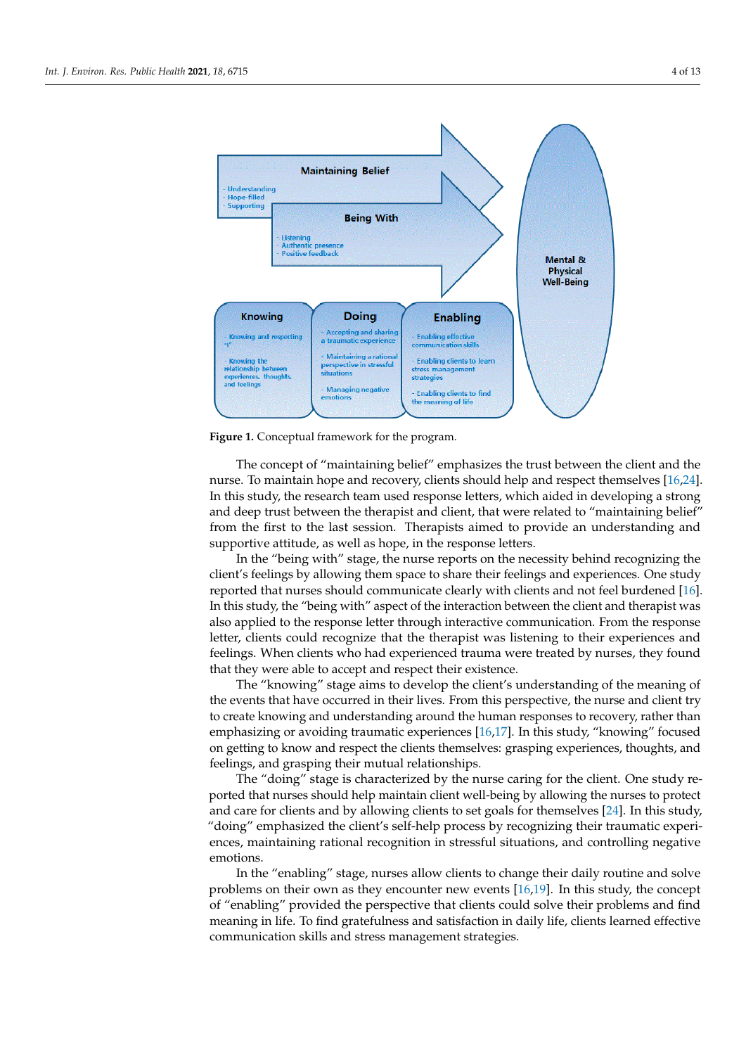<span id="page-3-0"></span>

**Figure 1.** Conceptual framework for the program. **Figure 1.** Conceptual framework for the program.

The concept of "maintaining belief" emphasizes the trust between the client and the Theories of "maintaining" energy and the trust between the client and the Theories of Theories of Theories in the Theories of Theories of nurse. To maintain hope and recovery, clients should help and respect themselves [\[16,](#page-11-12)[24\]](#page-11-20). [16,24]. In this study, the research team used response letters, which aided in developing and deep trust between the therapist and client, that were related to "maintaining belief" and deep trust between the therapist and chent, that were related to "maintaining beneft from the first to the last session. Therapists aimed to provide an understanding and non the mot to the last session. Therapists aimed to provide an understanding and supportive attitude, as well as hope, in the response letters. In this study, the research team used response letters, which aided in developing a strong

ing and supportive attitude, as well as hope, in the response letters. In the "being with" stage, the nurse reports on the necessity behind recognizing the In the "being with" stage, the nurse reports on the necessity behind recognizing the client's feelings by allowing them space to share their feelings and experiences. One study client's feelings by allowing them space to share their feelings and experiences. One reported that nurses should communicate clearly with clients and not feel burdened [\[16\]](#page-11-12). study reported that nurses should communicate clearly with clients and not feel bur-In this study, the "being with" aspect of the interaction between the client and therapist was also applied to the response letter through interactive communication. From the response letter, clients could recognize that the therapist was listening to their experiences and feelings. When clients who had experienced trauma were treated by nurses, they found that they were able to accept and respect their existence.

The "knowing" stage aims to develop the client's understanding of the meaning of the events that have occurred in their lives. From this perspective, the nurse and client try to create knowing and understanding around the human responses to recovery, rather than emphasizing or avoiding traumatic experiences [\[16](#page-11-12)[,17\]](#page-11-13). In this study, "knowing" focused on getting to know and respect the clients themselves: grasping experiences, thoughts, and feelings, and grasping their mutual relationships.

The "doing" stage is characterized by the nurse caring for the client. One study reported that nurses should help maintain client well-being by allowing the nurses to protect and care for clients and by allowing clients to set goals for themselves [24]. In this study, "doing" emphasized the client's self-help process by recognizing their traumatic experiences, maintaining rational recognition in stressful situations, and controlling negative experiences, maintaining rations, maintaining rations, and controlling rations, and controlling rations, and controlling rations, and controlling rations, and controlling rations, and controlling rations, and controlling r emotions.

In the "enabling" stage, nurses allow clients to change their daily routine and solve problems on their own as they encounter new events [16,19]. In this study, the concept of "enabling" provided the perspective that clients could solve their problems and find meaning in life. To find gratefulness and satisfaction in daily life, clients learned effective communication skills and stress management strategies.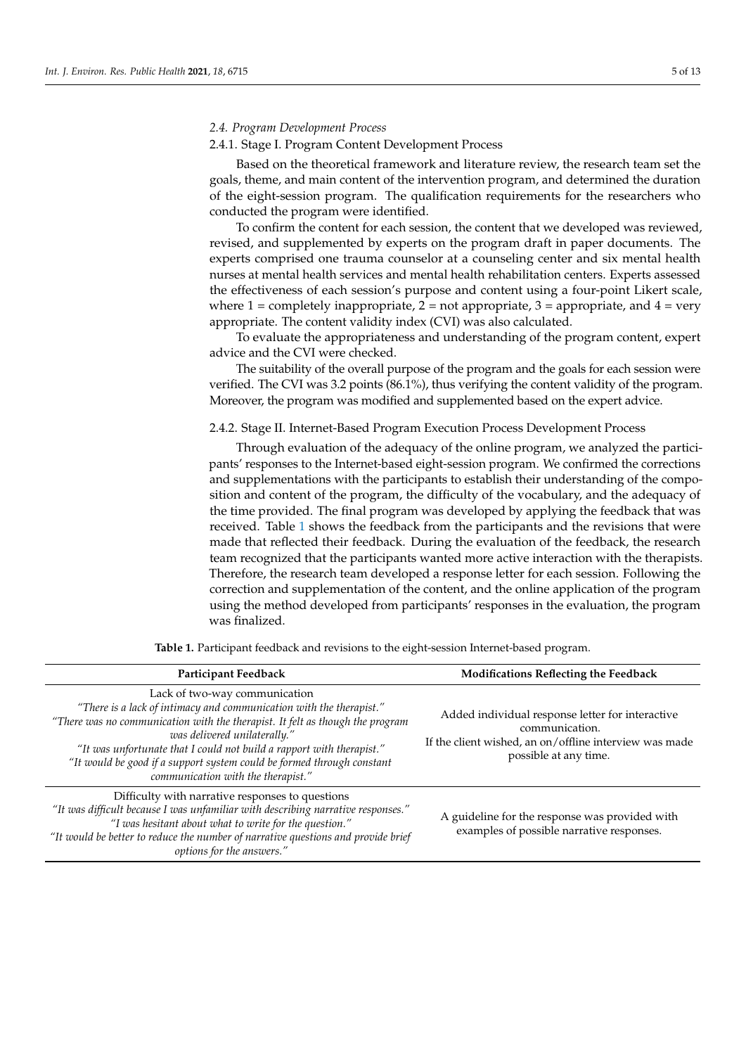#### 2.4.1. Stage I. Program Content Development Process

Based on the theoretical framework and literature review, the research team set the goals, theme, and main content of the intervention program, and determined the duration of the eight-session program. The qualification requirements for the researchers who conducted the program were identified.

To confirm the content for each session, the content that we developed was reviewed, revised, and supplemented by experts on the program draft in paper documents. The experts comprised one trauma counselor at a counseling center and six mental health nurses at mental health services and mental health rehabilitation centers. Experts assessed the effectiveness of each session's purpose and content using a four-point Likert scale, where  $1 =$  completely inappropriate,  $2 =$  not appropriate,  $3 =$  appropriate, and  $4 =$  very appropriate. The content validity index (CVI) was also calculated.

To evaluate the appropriateness and understanding of the program content, expert advice and the CVI were checked.

The suitability of the overall purpose of the program and the goals for each session were verified. The CVI was 3.2 points (86.1%), thus verifying the content validity of the program. Moreover, the program was modified and supplemented based on the expert advice.

2.4.2. Stage II. Internet-Based Program Execution Process Development Process

Through evaluation of the adequacy of the online program, we analyzed the participants' responses to the Internet-based eight-session program. We confirmed the corrections and supplementations with the participants to establish their understanding of the composition and content of the program, the difficulty of the vocabulary, and the adequacy of the time provided. The final program was developed by applying the feedback that was received. Table [1](#page-5-0) shows the feedback from the participants and the revisions that were made that reflected their feedback. During the evaluation of the feedback, the research team recognized that the participants wanted more active interaction with the therapists. Therefore, the research team developed a response letter for each session. Following the correction and supplementation of the content, and the online application of the program using the method developed from participants' responses in the evaluation, the program was finalized.

| Participant Feedback                                                                                                                                                                                                                                                                                                                                                                                           | <b>Modifications Reflecting the Feedback</b>                                                                                                          |
|----------------------------------------------------------------------------------------------------------------------------------------------------------------------------------------------------------------------------------------------------------------------------------------------------------------------------------------------------------------------------------------------------------------|-------------------------------------------------------------------------------------------------------------------------------------------------------|
| Lack of two-way communication<br>"There is a lack of intimacy and communication with the therapist."<br>"There was no communication with the therapist. It felt as though the program<br>was delivered unilaterally."<br>"It was unfortunate that I could not build a rapport with therapist."<br>"It would be good if a support system could be formed through constant<br>communication with the therapist." | Added individual response letter for interactive<br>communication.<br>If the client wished, an on/offline interview was made<br>possible at any time. |
| Difficulty with narrative responses to questions<br>"It was difficult because I was unfamiliar with describing narrative responses."<br>"I was hesitant about what to write for the question."<br>"It would be better to reduce the number of narrative questions and provide brief<br>options for the answers."                                                                                               | A guideline for the response was provided with<br>examples of possible narrative responses.                                                           |

**Table 1.** Participant feedback and revisions to the eight-session Internet-based program.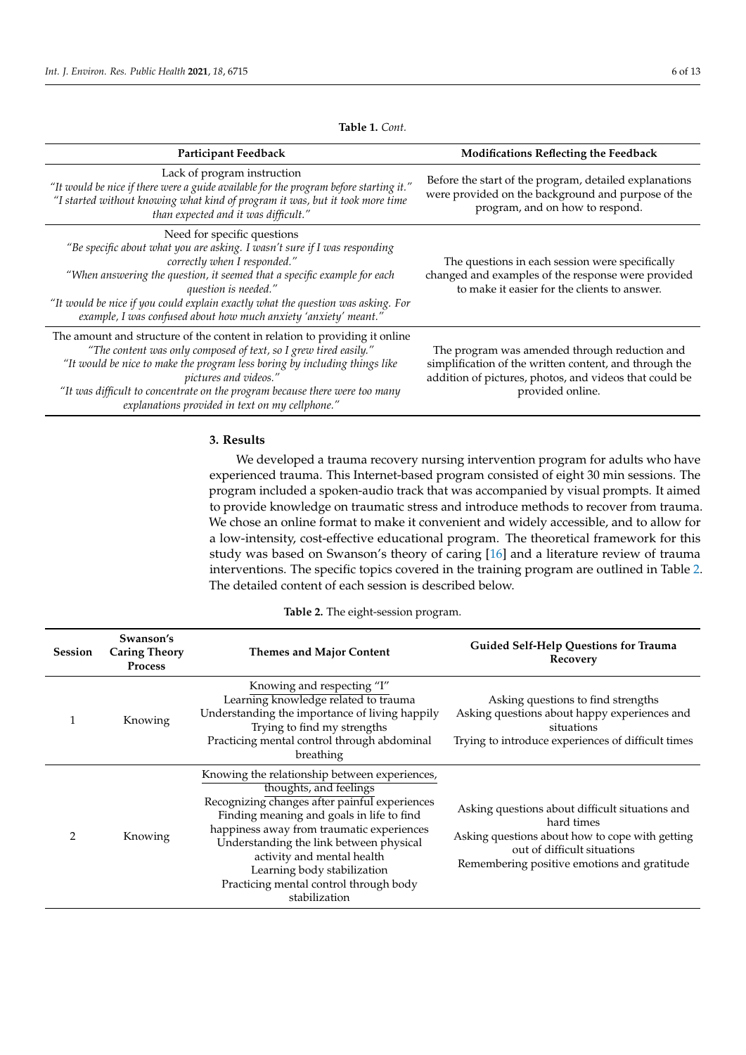**Table 1.** *Cont.*

<span id="page-5-0"></span>

| Participant Feedback                                                                                                                                                                                                                                                                                                                                                                                 | <b>Modifications Reflecting the Feedback</b>                                                                                                                                          |
|------------------------------------------------------------------------------------------------------------------------------------------------------------------------------------------------------------------------------------------------------------------------------------------------------------------------------------------------------------------------------------------------------|---------------------------------------------------------------------------------------------------------------------------------------------------------------------------------------|
| Lack of program instruction<br>"It would be nice if there were a guide available for the program before starting it."<br>"I started without knowing what kind of program it was, but it took more time<br>than expected and it was difficult."                                                                                                                                                       | Before the start of the program, detailed explanations<br>were provided on the background and purpose of the<br>program, and on how to respond.                                       |
| Need for specific questions<br>"Be specific about what you are asking. I wasn't sure if I was responding<br>correctly when I responded."<br>"When answering the question, it seemed that a specific example for each<br>question is needed."<br>"It would be nice if you could explain exactly what the question was asking. For<br>example, I was confused about how much anxiety 'anxiety' meant." | The questions in each session were specifically<br>changed and examples of the response were provided<br>to make it easier for the clients to answer.                                 |
| The amount and structure of the content in relation to providing it online<br>"The content was only composed of text, so I grew tired easily."<br>"It would be nice to make the program less boring by including things like<br>pictures and videos."<br>"It was difficult to concentrate on the program because there were too many<br>explanations provided in text on my cellphone."              | The program was amended through reduction and<br>simplification of the written content, and through the<br>addition of pictures, photos, and videos that could be<br>provided online. |

# **3. Results**

We developed a trauma recovery nursing intervention program for adults who have experienced trauma. This Internet-based program consisted of eight 30 min sessions. The program included a spoken-audio track that was accompanied by visual prompts. It aimed to provide knowledge on traumatic stress and introduce methods to recover from trauma. We chose an online format to make it convenient and widely accessible, and to allow for a low-intensity, cost-effective educational program. The theoretical framework for this study was based on Swanson's theory of caring [\[16\]](#page-11-12) and a literature review of trauma interventions. The specific topics covered in the training program are outlined in Table [2.](#page-6-0) The detailed content of each session is described below.

|  |  |  |  |  | <b>Table 2.</b> The eight-session program. |
|--|--|--|--|--|--------------------------------------------|
|--|--|--|--|--|--------------------------------------------|

| <b>Session</b> | Swanson's<br><b>Caring Theory</b><br><b>Process</b> | <b>Themes and Major Content</b>                                                                                                                                                                                                                                                                                                                                                       | <b>Guided Self-Help Questions for Trauma</b><br>Recovery                                                                                                                                       |
|----------------|-----------------------------------------------------|---------------------------------------------------------------------------------------------------------------------------------------------------------------------------------------------------------------------------------------------------------------------------------------------------------------------------------------------------------------------------------------|------------------------------------------------------------------------------------------------------------------------------------------------------------------------------------------------|
|                | Knowing                                             | Knowing and respecting "I"<br>Learning knowledge related to trauma<br>Understanding the importance of living happily<br>Trying to find my strengths<br>Practicing mental control through abdominal<br>breathing                                                                                                                                                                       | Asking questions to find strengths<br>Asking questions about happy experiences and<br>situations<br>Trying to introduce experiences of difficult times                                         |
| $\mathcal{P}$  | Knowing                                             | Knowing the relationship between experiences,<br>thoughts, and feelings<br>Recognizing changes after painful experiences<br>Finding meaning and goals in life to find<br>happiness away from traumatic experiences<br>Understanding the link between physical<br>activity and mental health<br>Learning body stabilization<br>Practicing mental control through body<br>stabilization | Asking questions about difficult situations and<br>hard times<br>Asking questions about how to cope with getting<br>out of difficult situations<br>Remembering positive emotions and gratitude |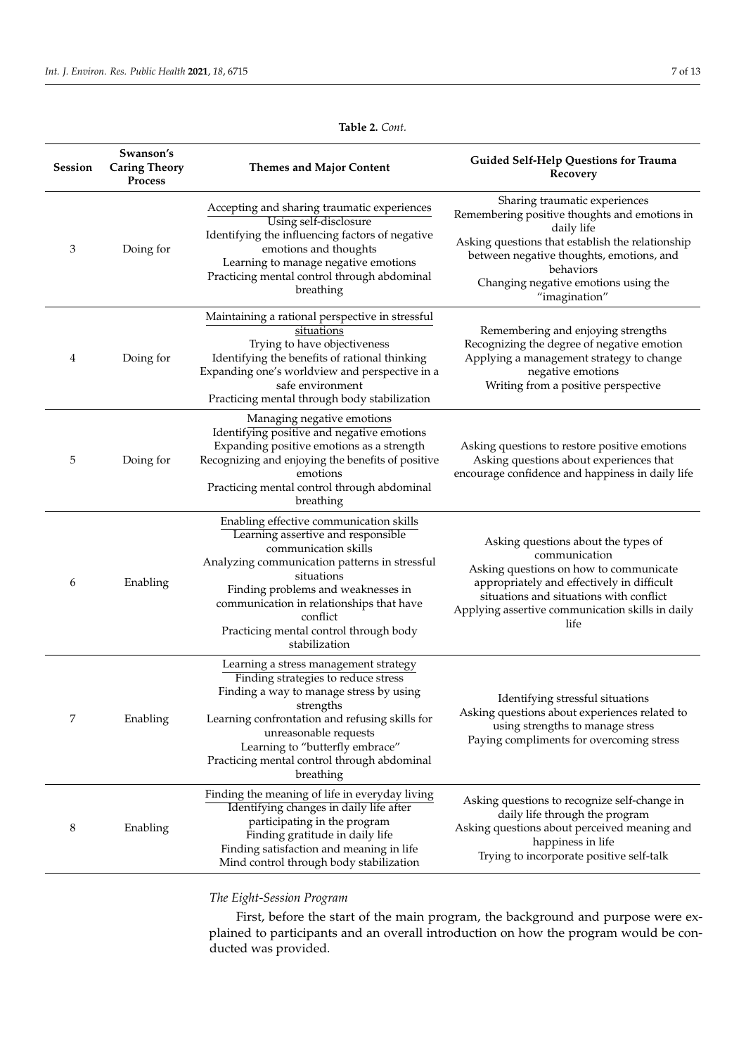<span id="page-6-0"></span>

| <b>Session</b> | Swanson's<br><b>Caring Theory</b><br><b>Process</b> | <b>Themes and Major Content</b>                                                                                                                                                                                                                                                                                               | Guided Self-Help Questions for Trauma<br>Recovery                                                                                                                                                                                                                  |
|----------------|-----------------------------------------------------|-------------------------------------------------------------------------------------------------------------------------------------------------------------------------------------------------------------------------------------------------------------------------------------------------------------------------------|--------------------------------------------------------------------------------------------------------------------------------------------------------------------------------------------------------------------------------------------------------------------|
| 3              | Doing for                                           | Accepting and sharing traumatic experiences<br>Using self-disclosure<br>Identifying the influencing factors of negative<br>emotions and thoughts<br>Learning to manage negative emotions<br>Practicing mental control through abdominal<br>breathing                                                                          | Sharing traumatic experiences<br>Remembering positive thoughts and emotions in<br>daily life<br>Asking questions that establish the relationship<br>between negative thoughts, emotions, and<br>behaviors<br>Changing negative emotions using the<br>"imagination" |
| 4              | Doing for                                           | Maintaining a rational perspective in stressful<br>situations<br>Trying to have objectiveness<br>Identifying the benefits of rational thinking<br>Expanding one's worldview and perspective in a<br>safe environment<br>Practicing mental through body stabilization                                                          | Remembering and enjoying strengths<br>Recognizing the degree of negative emotion<br>Applying a management strategy to change<br>negative emotions<br>Writing from a positive perspective                                                                           |
| 5              | Doing for                                           | Managing negative emotions<br>Identifying positive and negative emotions<br>Expanding positive emotions as a strength<br>Recognizing and enjoying the benefits of positive<br>emotions<br>Practicing mental control through abdominal<br>breathing                                                                            | Asking questions to restore positive emotions<br>Asking questions about experiences that<br>encourage confidence and happiness in daily life                                                                                                                       |
| 6              | Enabling                                            | Enabling effective communication skills<br>Learning assertive and responsible<br>communication skills<br>Analyzing communication patterns in stressful<br>situations<br>Finding problems and weaknesses in<br>communication in relationships that have<br>conflict<br>Practicing mental control through body<br>stabilization | Asking questions about the types of<br>communication<br>Asking questions on how to communicate<br>appropriately and effectively in difficult<br>situations and situations with conflict<br>Applying assertive communication skills in daily<br>life                |
| 7              | Enabling                                            | Learning a stress management strategy<br>Finding strategies to reduce stress<br>Finding a way to manage stress by using<br>strengths<br>Learning confrontation and refusing skills for<br>unreasonable requests<br>Learning to "butterfly embrace"<br>Practicing mental control through abdominal<br>breathing                | Identifying stressful situations<br>Asking questions about experiences related to<br>using strengths to manage stress<br>Paying compliments for overcoming stress                                                                                                  |
| 8              | Enabling                                            | Finding the meaning of life in everyday living<br>Identifying changes in daily life after<br>participating in the program<br>Finding gratitude in daily life<br>Finding satisfaction and meaning in life<br>Mind control through body stabilization                                                                           | Asking questions to recognize self-change in<br>daily life through the program<br>Asking questions about perceived meaning and<br>happiness in life<br>Trying to incorporate positive self-talk                                                                    |

# **Table 2.** *Cont.*

# *The Eight-Session Program*

First, before the start of the main program, the background and purpose were explained to participants and an overall introduction on how the program would be conducted was provided.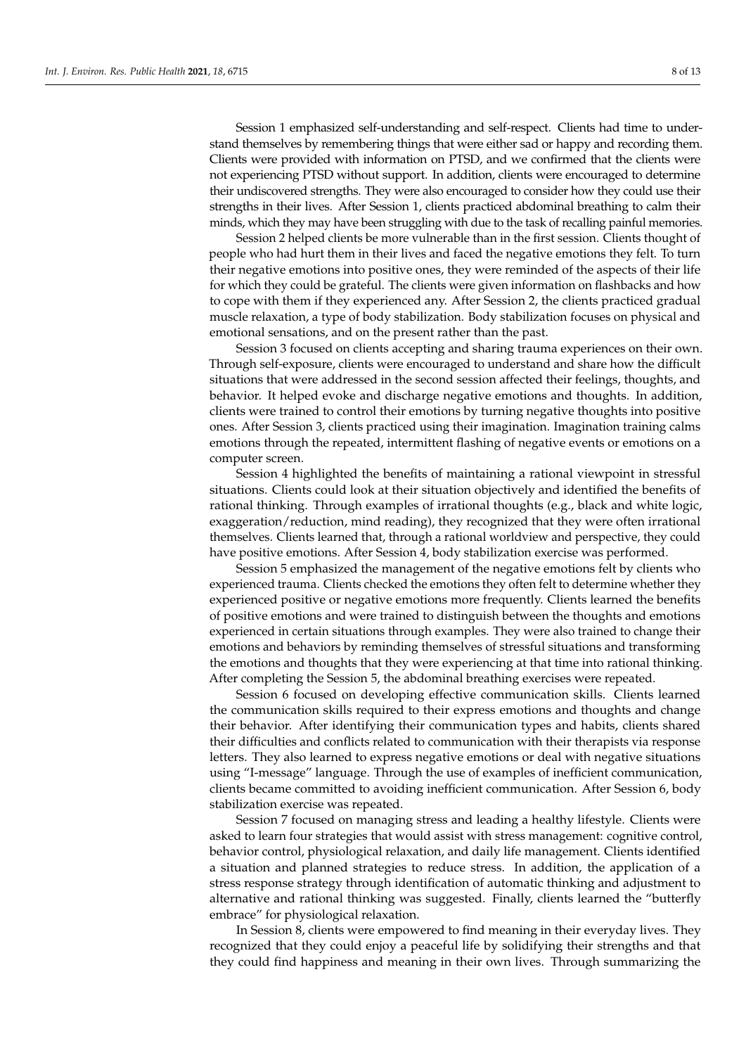Session 1 emphasized self-understanding and self-respect. Clients had time to understand themselves by remembering things that were either sad or happy and recording them. Clients were provided with information on PTSD, and we confirmed that the clients were not experiencing PTSD without support. In addition, clients were encouraged to determine their undiscovered strengths. They were also encouraged to consider how they could use their strengths in their lives. After Session 1, clients practiced abdominal breathing to calm their minds, which they may have been struggling with due to the task of recalling painful memories.

Session 2 helped clients be more vulnerable than in the first session. Clients thought of people who had hurt them in their lives and faced the negative emotions they felt. To turn their negative emotions into positive ones, they were reminded of the aspects of their life for which they could be grateful. The clients were given information on flashbacks and how to cope with them if they experienced any. After Session 2, the clients practiced gradual muscle relaxation, a type of body stabilization. Body stabilization focuses on physical and emotional sensations, and on the present rather than the past.

Session 3 focused on clients accepting and sharing trauma experiences on their own. Through self-exposure, clients were encouraged to understand and share how the difficult situations that were addressed in the second session affected their feelings, thoughts, and behavior. It helped evoke and discharge negative emotions and thoughts. In addition, clients were trained to control their emotions by turning negative thoughts into positive ones. After Session 3, clients practiced using their imagination. Imagination training calms emotions through the repeated, intermittent flashing of negative events or emotions on a computer screen.

Session 4 highlighted the benefits of maintaining a rational viewpoint in stressful situations. Clients could look at their situation objectively and identified the benefits of rational thinking. Through examples of irrational thoughts (e.g., black and white logic, exaggeration/reduction, mind reading), they recognized that they were often irrational themselves. Clients learned that, through a rational worldview and perspective, they could have positive emotions. After Session 4, body stabilization exercise was performed.

Session 5 emphasized the management of the negative emotions felt by clients who experienced trauma. Clients checked the emotions they often felt to determine whether they experienced positive or negative emotions more frequently. Clients learned the benefits of positive emotions and were trained to distinguish between the thoughts and emotions experienced in certain situations through examples. They were also trained to change their emotions and behaviors by reminding themselves of stressful situations and transforming the emotions and thoughts that they were experiencing at that time into rational thinking. After completing the Session 5, the abdominal breathing exercises were repeated.

Session 6 focused on developing effective communication skills. Clients learned the communication skills required to their express emotions and thoughts and change their behavior. After identifying their communication types and habits, clients shared their difficulties and conflicts related to communication with their therapists via response letters. They also learned to express negative emotions or deal with negative situations using "I-message" language. Through the use of examples of inefficient communication, clients became committed to avoiding inefficient communication. After Session 6, body stabilization exercise was repeated.

Session 7 focused on managing stress and leading a healthy lifestyle. Clients were asked to learn four strategies that would assist with stress management: cognitive control, behavior control, physiological relaxation, and daily life management. Clients identified a situation and planned strategies to reduce stress. In addition, the application of a stress response strategy through identification of automatic thinking and adjustment to alternative and rational thinking was suggested. Finally, clients learned the "butterfly embrace" for physiological relaxation.

In Session 8, clients were empowered to find meaning in their everyday lives. They recognized that they could enjoy a peaceful life by solidifying their strengths and that they could find happiness and meaning in their own lives. Through summarizing the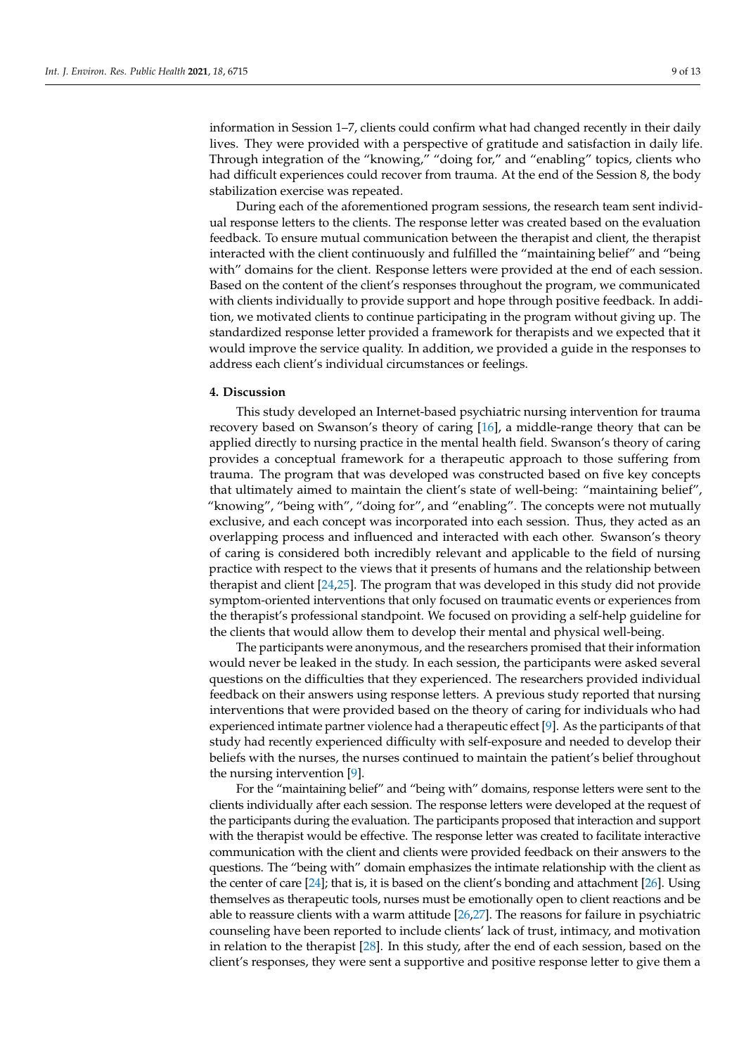information in Session 1–7, clients could confirm what had changed recently in their daily lives. They were provided with a perspective of gratitude and satisfaction in daily life. Through integration of the "knowing," "doing for," and "enabling" topics, clients who had difficult experiences could recover from trauma. At the end of the Session 8, the body stabilization exercise was repeated.

During each of the aforementioned program sessions, the research team sent individual response letters to the clients. The response letter was created based on the evaluation feedback. To ensure mutual communication between the therapist and client, the therapist interacted with the client continuously and fulfilled the "maintaining belief" and "being with" domains for the client. Response letters were provided at the end of each session. Based on the content of the client's responses throughout the program, we communicated with clients individually to provide support and hope through positive feedback. In addition, we motivated clients to continue participating in the program without giving up. The standardized response letter provided a framework for therapists and we expected that it would improve the service quality. In addition, we provided a guide in the responses to address each client's individual circumstances or feelings.

#### **4. Discussion**

This study developed an Internet-based psychiatric nursing intervention for trauma recovery based on Swanson's theory of caring [\[16\]](#page-11-12), a middle-range theory that can be applied directly to nursing practice in the mental health field. Swanson's theory of caring provides a conceptual framework for a therapeutic approach to those suffering from trauma. The program that was developed was constructed based on five key concepts that ultimately aimed to maintain the client's state of well-being: "maintaining belief", "knowing", "being with", "doing for", and "enabling". The concepts were not mutually exclusive, and each concept was incorporated into each session. Thus, they acted as an overlapping process and influenced and interacted with each other. Swanson's theory of caring is considered both incredibly relevant and applicable to the field of nursing practice with respect to the views that it presents of humans and the relationship between therapist and client [\[24,](#page-11-20)[25\]](#page-11-21). The program that was developed in this study did not provide symptom-oriented interventions that only focused on traumatic events or experiences from the therapist's professional standpoint. We focused on providing a self-help guideline for the clients that would allow them to develop their mental and physical well-being.

The participants were anonymous, and the researchers promised that their information would never be leaked in the study. In each session, the participants were asked several questions on the difficulties that they experienced. The researchers provided individual feedback on their answers using response letters. A previous study reported that nursing interventions that were provided based on the theory of caring for individuals who had experienced intimate partner violence had a therapeutic effect [\[9\]](#page-11-5). As the participants of that study had recently experienced difficulty with self-exposure and needed to develop their beliefs with the nurses, the nurses continued to maintain the patient's belief throughout the nursing intervention [\[9\]](#page-11-5).

For the "maintaining belief" and "being with" domains, response letters were sent to the clients individually after each session. The response letters were developed at the request of the participants during the evaluation. The participants proposed that interaction and support with the therapist would be effective. The response letter was created to facilitate interactive communication with the client and clients were provided feedback on their answers to the questions. The "being with" domain emphasizes the intimate relationship with the client as the center of care [\[24\]](#page-11-20); that is, it is based on the client's bonding and attachment [\[26\]](#page-11-22). Using themselves as therapeutic tools, nurses must be emotionally open to client reactions and be able to reassure clients with a warm attitude  $[26,27]$  $[26,27]$ . The reasons for failure in psychiatric counseling have been reported to include clients' lack of trust, intimacy, and motivation in relation to the therapist [\[28\]](#page-11-24). In this study, after the end of each session, based on the client's responses, they were sent a supportive and positive response letter to give them a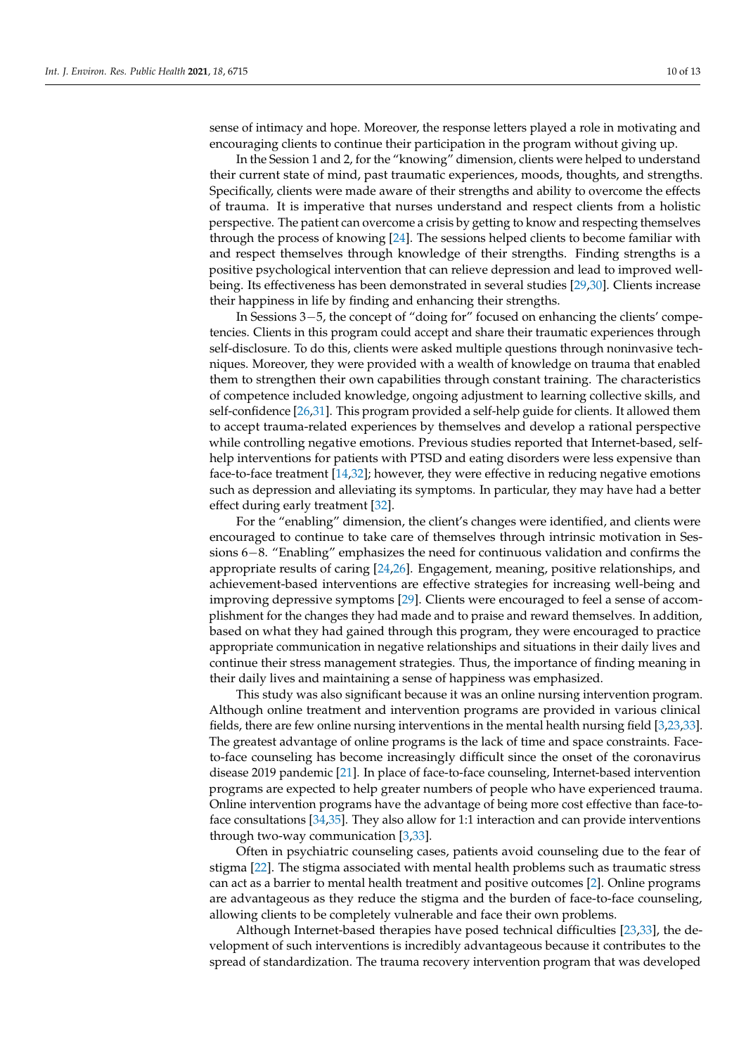sense of intimacy and hope. Moreover, the response letters played a role in motivating and encouraging clients to continue their participation in the program without giving up.

In the Session 1 and 2, for the "knowing" dimension, clients were helped to understand their current state of mind, past traumatic experiences, moods, thoughts, and strengths. Specifically, clients were made aware of their strengths and ability to overcome the effects of trauma. It is imperative that nurses understand and respect clients from a holistic perspective. The patient can overcome a crisis by getting to know and respecting themselves through the process of knowing [\[24\]](#page-11-20). The sessions helped clients to become familiar with and respect themselves through knowledge of their strengths. Finding strengths is a positive psychological intervention that can relieve depression and lead to improved wellbeing. Its effectiveness has been demonstrated in several studies [\[29](#page-11-25)[,30\]](#page-11-26). Clients increase their happiness in life by finding and enhancing their strengths.

In Sessions 3−5, the concept of "doing for" focused on enhancing the clients' competencies. Clients in this program could accept and share their traumatic experiences through self-disclosure. To do this, clients were asked multiple questions through noninvasive techniques. Moreover, they were provided with a wealth of knowledge on trauma that enabled them to strengthen their own capabilities through constant training. The characteristics of competence included knowledge, ongoing adjustment to learning collective skills, and self-confidence [\[26](#page-11-22)[,31\]](#page-11-27). This program provided a self-help guide for clients. It allowed them to accept trauma-related experiences by themselves and develop a rational perspective while controlling negative emotions. Previous studies reported that Internet-based, selfhelp interventions for patients with PTSD and eating disorders were less expensive than face-to-face treatment [\[14](#page-11-10)[,32\]](#page-12-0); however, they were effective in reducing negative emotions such as depression and alleviating its symptoms. In particular, they may have had a better effect during early treatment [\[32\]](#page-12-0).

For the "enabling" dimension, the client's changes were identified, and clients were encouraged to continue to take care of themselves through intrinsic motivation in Sessions 6−8. "Enabling" emphasizes the need for continuous validation and confirms the appropriate results of caring [\[24](#page-11-20)[,26\]](#page-11-22). Engagement, meaning, positive relationships, and achievement-based interventions are effective strategies for increasing well-being and improving depressive symptoms [\[29\]](#page-11-25). Clients were encouraged to feel a sense of accomplishment for the changes they had made and to praise and reward themselves. In addition, based on what they had gained through this program, they were encouraged to practice appropriate communication in negative relationships and situations in their daily lives and continue their stress management strategies. Thus, the importance of finding meaning in their daily lives and maintaining a sense of happiness was emphasized.

This study was also significant because it was an online nursing intervention program. Although online treatment and intervention programs are provided in various clinical fields, there are few online nursing interventions in the mental health nursing field [\[3,](#page-10-2)[23](#page-11-19)[,33\]](#page-12-1). The greatest advantage of online programs is the lack of time and space constraints. Faceto-face counseling has become increasingly difficult since the onset of the coronavirus disease 2019 pandemic [\[21\]](#page-11-17). In place of face-to-face counseling, Internet-based intervention programs are expected to help greater numbers of people who have experienced trauma. Online intervention programs have the advantage of being more cost effective than face-toface consultations [\[34](#page-12-2)[,35\]](#page-12-3). They also allow for 1:1 interaction and can provide interventions through two-way communication [\[3,](#page-10-2)[33\]](#page-12-1).

Often in psychiatric counseling cases, patients avoid counseling due to the fear of stigma [\[22\]](#page-11-18). The stigma associated with mental health problems such as traumatic stress can act as a barrier to mental health treatment and positive outcomes [\[2\]](#page-10-1). Online programs are advantageous as they reduce the stigma and the burden of face-to-face counseling, allowing clients to be completely vulnerable and face their own problems.

Although Internet-based therapies have posed technical difficulties [\[23,](#page-11-19)[33\]](#page-12-1), the development of such interventions is incredibly advantageous because it contributes to the spread of standardization. The trauma recovery intervention program that was developed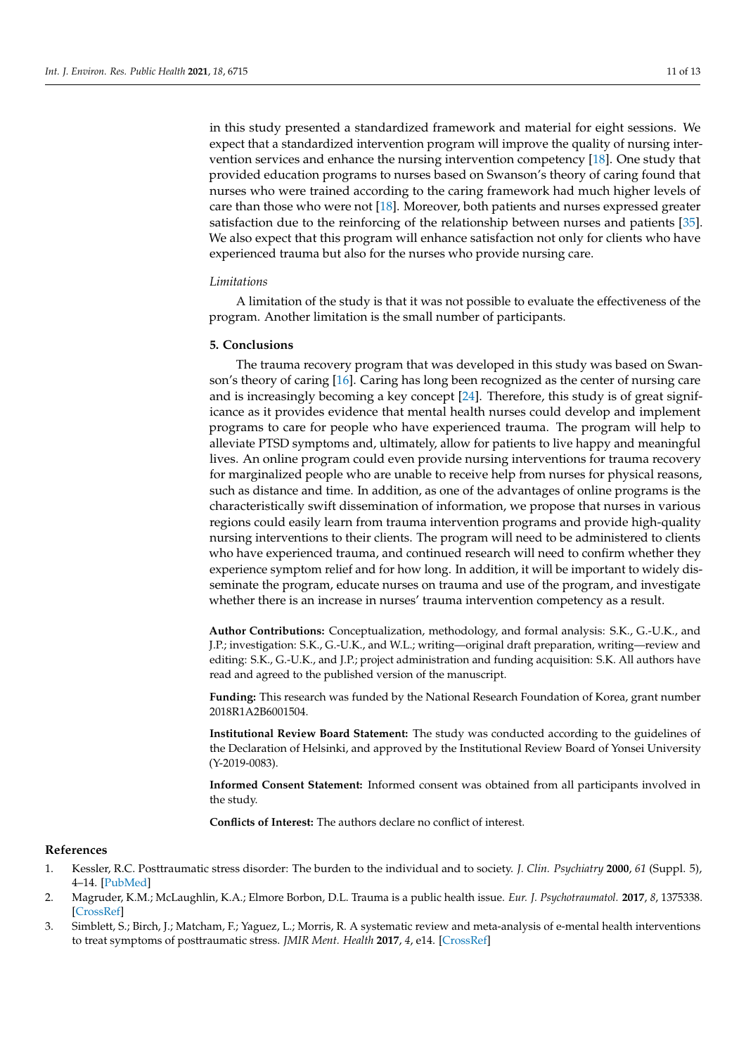in this study presented a standardized framework and material for eight sessions. We expect that a standardized intervention program will improve the quality of nursing intervention services and enhance the nursing intervention competency [\[18\]](#page-11-14). One study that provided education programs to nurses based on Swanson's theory of caring found that nurses who were trained according to the caring framework had much higher levels of care than those who were not [\[18\]](#page-11-14). Moreover, both patients and nurses expressed greater satisfaction due to the reinforcing of the relationship between nurses and patients [\[35\]](#page-12-3). We also expect that this program will enhance satisfaction not only for clients who have experienced trauma but also for the nurses who provide nursing care.

#### *Limitations*

A limitation of the study is that it was not possible to evaluate the effectiveness of the program. Another limitation is the small number of participants.

#### **5. Conclusions**

The trauma recovery program that was developed in this study was based on Swanson's theory of caring [\[16\]](#page-11-12). Caring has long been recognized as the center of nursing care and is increasingly becoming a key concept [\[24\]](#page-11-20). Therefore, this study is of great significance as it provides evidence that mental health nurses could develop and implement programs to care for people who have experienced trauma. The program will help to alleviate PTSD symptoms and, ultimately, allow for patients to live happy and meaningful lives. An online program could even provide nursing interventions for trauma recovery for marginalized people who are unable to receive help from nurses for physical reasons, such as distance and time. In addition, as one of the advantages of online programs is the characteristically swift dissemination of information, we propose that nurses in various regions could easily learn from trauma intervention programs and provide high-quality nursing interventions to their clients. The program will need to be administered to clients who have experienced trauma, and continued research will need to confirm whether they experience symptom relief and for how long. In addition, it will be important to widely disseminate the program, educate nurses on trauma and use of the program, and investigate whether there is an increase in nurses' trauma intervention competency as a result.

**Author Contributions:** Conceptualization, methodology, and formal analysis: S.K., G.-U.K., and J.P.; investigation: S.K., G.-U.K., and W.L.; writing—original draft preparation, writing—review and editing: S.K., G.-U.K., and J.P.; project administration and funding acquisition: S.K. All authors have read and agreed to the published version of the manuscript.

**Funding:** This research was funded by the National Research Foundation of Korea, grant number 2018R1A2B6001504.

**Institutional Review Board Statement:** The study was conducted according to the guidelines of the Declaration of Helsinki, and approved by the Institutional Review Board of Yonsei University (Y-2019-0083).

**Informed Consent Statement:** Informed consent was obtained from all participants involved in the study.

**Conflicts of Interest:** The authors declare no conflict of interest.

#### **References**

- <span id="page-10-0"></span>1. Kessler, R.C. Posttraumatic stress disorder: The burden to the individual and to society. *J. Clin. Psychiatry* **2000**, *61* (Suppl. 5), 4–14. [\[PubMed\]](http://www.ncbi.nlm.nih.gov/pubmed/10761674)
- <span id="page-10-1"></span>2. Magruder, K.M.; McLaughlin, K.A.; Elmore Borbon, D.L. Trauma is a public health issue. *Eur. J. Psychotraumatol.* **2017**, *8*, 1375338. [\[CrossRef\]](http://doi.org/10.1080/20008198.2017.1375338)
- <span id="page-10-2"></span>3. Simblett, S.; Birch, J.; Matcham, F.; Yaguez, L.; Morris, R. A systematic review and meta-analysis of e-mental health interventions to treat symptoms of posttraumatic stress. *JMIR Ment. Health* **2017**, *4*, e14. [\[CrossRef\]](http://doi.org/10.2196/mental.5558)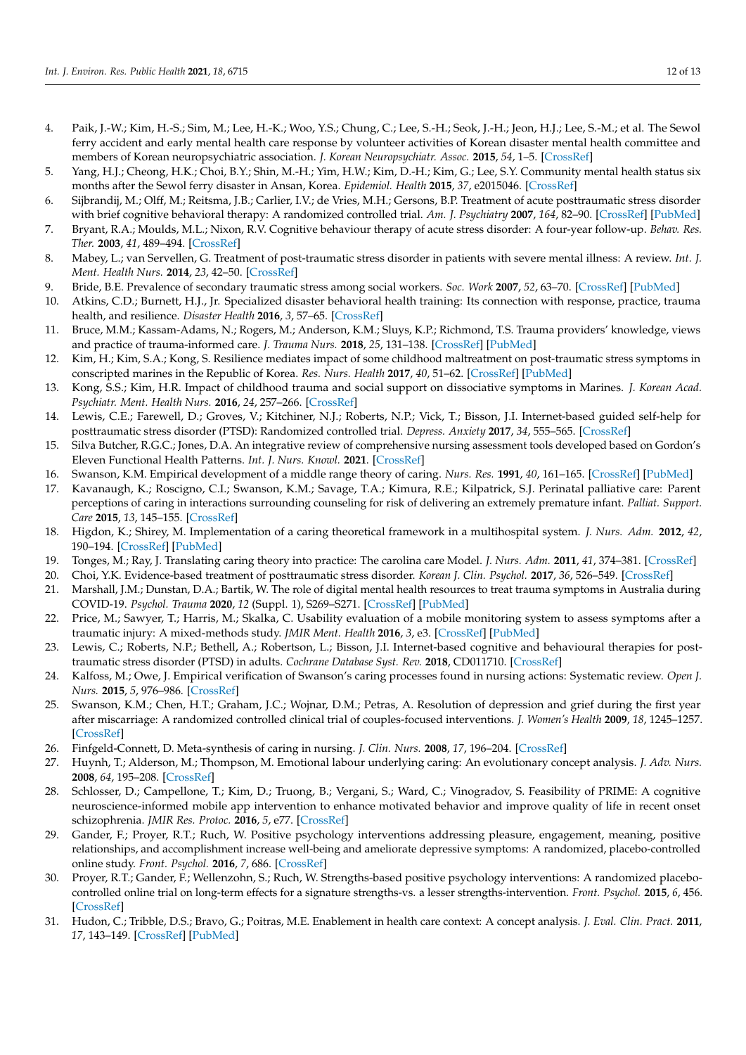- <span id="page-11-0"></span>4. Paik, J.-W.; Kim, H.-S.; Sim, M.; Lee, H.-K.; Woo, Y.S.; Chung, C.; Lee, S.-H.; Seok, J.-H.; Jeon, H.J.; Lee, S.-M.; et al. The Sewol ferry accident and early mental health care response by volunteer activities of Korean disaster mental health committee and members of Korean neuropsychiatric association. *J. Korean Neuropsychiatr. Assoc.* **2015**, *54*, 1–5. [\[CrossRef\]](http://doi.org/10.4306/jknpa.2015.54.1.1)
- <span id="page-11-1"></span>5. Yang, H.J.; Cheong, H.K.; Choi, B.Y.; Shin, M.-H.; Yim, H.W.; Kim, D.-H.; Kim, G.; Lee, S.Y. Community mental health status six months after the Sewol ferry disaster in Ansan, Korea. *Epidemiol. Health* **2015**, *37*, e2015046. [\[CrossRef\]](http://doi.org/10.4178/epih/e2015046)
- <span id="page-11-2"></span>6. Sijbrandij, M.; Olff, M.; Reitsma, J.B.; Carlier, I.V.; de Vries, M.H.; Gersons, B.P. Treatment of acute posttraumatic stress disorder with brief cognitive behavioral therapy: A randomized controlled trial. *Am. J. Psychiatry* **2007**, *164*, 82–90. [\[CrossRef\]](http://doi.org/10.1176/ajp.2007.164.1.82) [\[PubMed\]](http://www.ncbi.nlm.nih.gov/pubmed/17202548)
- <span id="page-11-3"></span>7. Bryant, R.A.; Moulds, M.L.; Nixon, R.V. Cognitive behaviour therapy of acute stress disorder: A four-year follow-up. *Behav. Res. Ther.* **2003**, *41*, 489–494. [\[CrossRef\]](http://doi.org/10.1016/S0005-7967(02)00179-1)
- <span id="page-11-4"></span>8. Mabey, L.; van Servellen, G. Treatment of post-traumatic stress disorder in patients with severe mental illness: A review. *Int. J. Ment. Health Nurs.* **2014**, *23*, 42–50. [\[CrossRef\]](http://doi.org/10.1111/inm.12007)
- <span id="page-11-5"></span>9. Bride, B.E. Prevalence of secondary traumatic stress among social workers. *Soc. Work* **2007**, *52*, 63–70. [\[CrossRef\]](http://doi.org/10.1093/sw/52.1.63) [\[PubMed\]](http://www.ncbi.nlm.nih.gov/pubmed/17388084)
- <span id="page-11-6"></span>10. Atkins, C.D.; Burnett, H.J., Jr. Specialized disaster behavioral health training: Its connection with response, practice, trauma health, and resilience. *Disaster Health* **2016**, *3*, 57–65. [\[CrossRef\]](http://doi.org/10.1080/21665044.2016.1199151)
- <span id="page-11-7"></span>11. Bruce, M.M.; Kassam-Adams, N.; Rogers, M.; Anderson, K.M.; Sluys, K.P.; Richmond, T.S. Trauma providers' knowledge, views and practice of trauma-informed care. *J. Trauma Nurs.* **2018**, *25*, 131–138. [\[CrossRef\]](http://doi.org/10.1097/JTN.0000000000000356) [\[PubMed\]](http://www.ncbi.nlm.nih.gov/pubmed/29521782)
- <span id="page-11-8"></span>12. Kim, H.; Kim, S.A.; Kong, S. Resilience mediates impact of some childhood maltreatment on post-traumatic stress symptoms in conscripted marines in the Republic of Korea. *Res. Nurs. Health* **2017**, *40*, 51–62. [\[CrossRef\]](http://doi.org/10.1002/nur.21773) [\[PubMed\]](http://www.ncbi.nlm.nih.gov/pubmed/27933610)
- <span id="page-11-9"></span>13. Kong, S.S.; Kim, H.R. Impact of childhood trauma and social support on dissociative symptoms in Marines. *J. Korean Acad. Psychiatr. Ment. Health Nurs.* **2016**, *24*, 257–266. [\[CrossRef\]](http://doi.org/10.12934/jkpmhn.2015.24.4.257)
- <span id="page-11-10"></span>14. Lewis, C.E.; Farewell, D.; Groves, V.; Kitchiner, N.J.; Roberts, N.P.; Vick, T.; Bisson, J.I. Internet-based guided self-help for posttraumatic stress disorder (PTSD): Randomized controlled trial. *Depress. Anxiety* **2017**, *34*, 555–565. [\[CrossRef\]](http://doi.org/10.1002/da.22645)
- <span id="page-11-11"></span>15. Silva Butcher, R.G.C.; Jones, D.A. An integrative review of comprehensive nursing assessment tools developed based on Gordon's Eleven Functional Health Patterns. *Int. J. Nurs. Knowl.* **2021**. [\[CrossRef\]](http://doi.org/10.1111/2047-3095.12321)
- <span id="page-11-12"></span>16. Swanson, K.M. Empirical development of a middle range theory of caring. *Nurs. Res.* **1991**, *40*, 161–165. [\[CrossRef\]](http://doi.org/10.1097/00006199-199105000-00008) [\[PubMed\]](http://www.ncbi.nlm.nih.gov/pubmed/2030995)
- <span id="page-11-13"></span>17. Kavanaugh, K.; Roscigno, C.I.; Swanson, K.M.; Savage, T.A.; Kimura, R.E.; Kilpatrick, S.J. Perinatal palliative care: Parent perceptions of caring in interactions surrounding counseling for risk of delivering an extremely premature infant. *Palliat. Support. Care* **2015**, *13*, 145–155. [\[CrossRef\]](http://doi.org/10.1017/S1478951513000874)
- <span id="page-11-14"></span>18. Higdon, K.; Shirey, M. Implementation of a caring theoretical framework in a multihospital system. *J. Nurs. Adm.* **2012**, *42*, 190–194. [\[CrossRef\]](http://doi.org/10.1097/NNA.0b013e31824ccd64) [\[PubMed\]](http://www.ncbi.nlm.nih.gov/pubmed/22441400)
- <span id="page-11-15"></span>19. Tonges, M.; Ray, J. Translating caring theory into practice: The carolina care Model. *J. Nurs. Adm.* **2011**, *41*, 374–381. [\[CrossRef\]](http://doi.org/10.1097/NNA.0b013e31822a732c)
- <span id="page-11-16"></span>20. Choi, Y.K. Evidence-based treatment of posttraumatic stress disorder. *Korean J. Clin. Psychol.* **2017**, *36*, 526–549. [\[CrossRef\]](http://doi.org/10.15842/kjcp.2017.36.4.006)
- <span id="page-11-17"></span>21. Marshall, J.M.; Dunstan, D.A.; Bartik, W. The role of digital mental health resources to treat trauma symptoms in Australia during COVID-19. *Psychol. Trauma* **2020**, *12* (Suppl. 1), S269–S271. [\[CrossRef\]](http://doi.org/10.1037/tra0000627) [\[PubMed\]](http://www.ncbi.nlm.nih.gov/pubmed/32496103)
- <span id="page-11-18"></span>22. Price, M.; Sawyer, T.; Harris, M.; Skalka, C. Usability evaluation of a mobile monitoring system to assess symptoms after a traumatic injury: A mixed-methods study. *JMIR Ment. Health* **2016**, *3*, e3. [\[CrossRef\]](http://doi.org/10.2196/mental.5023) [\[PubMed\]](http://www.ncbi.nlm.nih.gov/pubmed/26753673)
- <span id="page-11-19"></span>23. Lewis, C.; Roberts, N.P.; Bethell, A.; Robertson, L.; Bisson, J.I. Internet-based cognitive and behavioural therapies for posttraumatic stress disorder (PTSD) in adults. *Cochrane Database Syst. Rev.* **2018**, CD011710. [\[CrossRef\]](http://doi.org/10.1002/14651858.CD011710.pub2)
- <span id="page-11-20"></span>24. Kalfoss, M.; Owe, J. Empirical verification of Swanson's caring processes found in nursing actions: Systematic review. *Open J. Nurs.* **2015**, *5*, 976–986. [\[CrossRef\]](http://doi.org/10.4236/ojn.2015.511104)
- <span id="page-11-21"></span>25. Swanson, K.M.; Chen, H.T.; Graham, J.C.; Wojnar, D.M.; Petras, A. Resolution of depression and grief during the first year after miscarriage: A randomized controlled clinical trial of couples-focused interventions. *J. Women's Health* **2009**, *18*, 1245–1257. [\[CrossRef\]](http://doi.org/10.1089/jwh.2008.1202)
- <span id="page-11-22"></span>26. Finfgeld-Connett, D. Meta-synthesis of caring in nursing. *J. Clin. Nurs.* **2008**, *17*, 196–204. [\[CrossRef\]](http://doi.org/10.1111/j.1365-2702.2006.01824.x)
- <span id="page-11-23"></span>27. Huynh, T.; Alderson, M.; Thompson, M. Emotional labour underlying caring: An evolutionary concept analysis. *J. Adv. Nurs.* **2008**, *64*, 195–208. [\[CrossRef\]](http://doi.org/10.1111/j.1365-2648.2008.04780.x)
- <span id="page-11-24"></span>28. Schlosser, D.; Campellone, T.; Kim, D.; Truong, B.; Vergani, S.; Ward, C.; Vinogradov, S. Feasibility of PRIME: A cognitive neuroscience-informed mobile app intervention to enhance motivated behavior and improve quality of life in recent onset schizophrenia. *JMIR Res. Protoc.* **2016**, *5*, e77. [\[CrossRef\]](http://doi.org/10.2196/resprot.5450)
- <span id="page-11-25"></span>29. Gander, F.; Proyer, R.T.; Ruch, W. Positive psychology interventions addressing pleasure, engagement, meaning, positive relationships, and accomplishment increase well-being and ameliorate depressive symptoms: A randomized, placebo-controlled online study. *Front. Psychol.* **2016**, *7*, 686. [\[CrossRef\]](http://doi.org/10.3389/fpsyg.2016.00686)
- <span id="page-11-26"></span>30. Proyer, R.T.; Gander, F.; Wellenzohn, S.; Ruch, W. Strengths-based positive psychology interventions: A randomized placebocontrolled online trial on long-term effects for a signature strengths-vs. a lesser strengths-intervention. *Front. Psychol.* **2015**, *6*, 456. [\[CrossRef\]](http://doi.org/10.3389/fpsyg.2015.00456)
- <span id="page-11-27"></span>31. Hudon, C.; Tribble, D.S.; Bravo, G.; Poitras, M.E. Enablement in health care context: A concept analysis. *J. Eval. Clin. Pract.* **2011**, *17*, 143–149. [\[CrossRef\]](http://doi.org/10.1111/j.1365-2753.2010.01413.x) [\[PubMed\]](http://www.ncbi.nlm.nih.gov/pubmed/20825534)